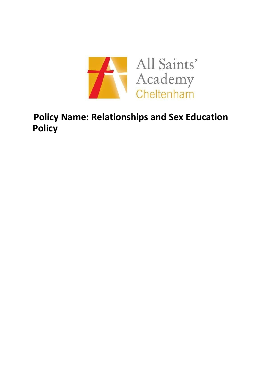

# **Policy Name: Relationships and Sex Education Policy**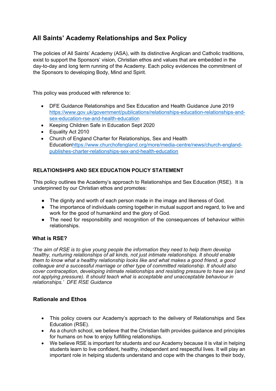## **All Saints' Academy Relationships and Sex Policy**

The policies of All Saints' Academy (ASA), with its distinctive Anglican and Catholic traditions, exist to support the Sponsors' vision, Christian ethos and values that are embedded in the day-to-day and long term running of the Academy. Each policy evidences the commitment of the Sponsors to developing Body, Mind and Spirit.

This policy was produced with reference to:

- DFE Guidance Relationships and Sex Education and Health Guidance June 2019 https://www.gov.uk/government/publications/relationships-education-relationships-andsex-education-rse-and-health-education
- Keeping Children Safe in Education Sept 2020
- Equality Act 2010
- Church of England Charter for Relationships, Sex and Health Educationhttps://www.churchofengland.org/more/media-centre/news/church-englandpublishes-charter-relationships-sex-and-health-education

## **RELATIONSHIPS AND SEX EDUCATION POLICY STATEMENT**

This policy outlines the Academy's approach to Relationships and Sex Education (RSE). It is underpinned by our Christian ethos and promotes:

- The dignity and worth of each person made in the image and likeness of God.
- The importance of individuals coming together in mutual support and regard, to live and work for the good of humankind and the glory of God.
- The need for responsibility and recognition of the consequences of behaviour within relationships.

## **What is RSE?**

*'The aim of RSE is to give young people the information they need to help them develop healthy, nurturing relationships of all kinds, not just intimate relationships. It should enable them to know what a healthy relationship looks like and what makes a good friend, a good colleague and a successful marriage or other type of committed relationship. It should also cover contraception, developing intimate relationships and resisting pressure to have sex (and not applying pressure). It should teach what is acceptable and unacceptable behaviour in relationships.' DFE RSE Guidance*

## **Rationale and Ethos**

- This policy covers our Academy's approach to the delivery of Relationships and Sex Education (RSE).
- As a church school, we believe that the Christian faith provides guidance and principles for humans on how to enjoy fulfilling relationships.
- We believe RSE is important for students and our Academy because it is vital in helping students learn to live confident, healthy, independent and respectful lives. It will play an important role in helping students understand and cope with the changes to their body,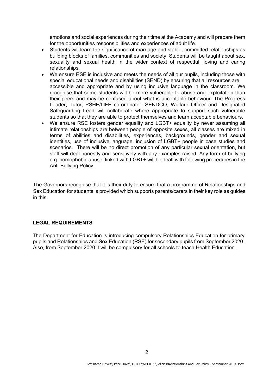emotions and social experiences during their time at the Academy and will prepare them for the opportunities responsibilities and experiences of adult life.

- Students will learn the significance of marriage and stable, committed relationships as building blocks of families, communities and society. Students will be taught about sex, sexuality and sexual health in the wider context of respectful, loving and caring relationships.
- We ensure RSE is inclusive and meets the needs of all our pupils, including those with special educational needs and disabilities (SEND) by ensuring that all resources are accessible and appropriate and by using inclusive language in the classroom. We recognise that some students will be more vulnerable to abuse and exploitation than their peers and may be confused about what is acceptable behaviour. The Progress Leader, Tutor, PSHE/LIFE co-ordinator, SENDCO, Welfare Officer and Designated Safeguarding Lead will collaborate where appropriate to support such vulnerable students so that they are able to protect themselves and learn acceptable behaviours.
- We ensure RSE fosters gender equality and LGBT+ equality by never assuming all intimate relationships are between people of opposite sexes, all classes are mixed in terms of abilities and disabilities, experiences, backgrounds, gender and sexual identities, use of inclusive language, inclusion of LGBT+ people in case studies and scenarios. There will be no direct promotion of any particular sexual orientation, but staff will deal honestly and sensitively with any examples raised. Any form of bullying e.g. homophobic abuse, linked with LGBT+ will be dealt with following procedures in the Anti-Bullying Policy.

The Governors recognise that it is their duty to *e*nsure that a programme of Relationships and Sex Education for students is provided which supports parents/carers in their key role as guides in this.

#### **LEGAL REQUIREMENTS**

The Department for Education is introducing compulsory Relationships Education for primary pupils and Relationships and Sex Education (RSE) for secondary pupils from September 2020. Also, from September 2020 it will be compulsory for all schools to teach Health Education.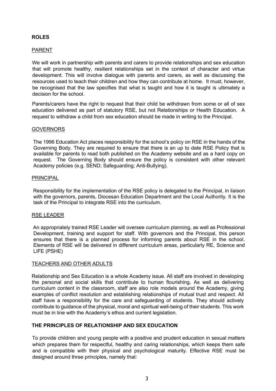## **ROLES**

#### PARENT

We will work in partnership with parents and carers to provide relationships and sex education that will promote healthy, resilient relationships set in the context of character and virtue development. This will involve dialogue with parents and carers, as well as discussing the resources used to teach their children and how they can contribute at home. It must, however, be recognised that the law specifies that what is taught and how it is taught is ultimately a decision for the school.

Parents/carers have the right to request that their child be withdrawn from some or all of sex education delivered as part of statutory RSE, but not Relationships or Health Education. A request to withdraw a child from sex education should be made in writing to the Principal.

#### **GOVERNORS**

The 1996 Education Act places responsibility for the school's policy on RSE in the hands of the Governing Body. They are required to ensure that there is an up to date RSE Policy that is available for parents to read both published on the Academy website and as a hard copy on request. The Governing Body should ensure the policy is consistent with other relevant Academy policies (e.g. SEND; Safeguarding; Anti-Bullying).

#### PRINCIPAL

Responsibility for the implementation of the RSE policy is delegated to the Principal, in liaison with the governors, parents, Diocesan Education Department and the Local Authority. It is the task of the Principal to integrate RSE into the curriculum.

#### RSE LEADER

An appropriately trained RSE Leader will oversee curriculum planning, as well as Professional Development, training and support for staff. With governors and the Principal, this person ensures that there is a planned process for informing parents about RSE in the school. Elements of RSE will be delivered in different curriculum areas, particularly RE, Science and LIFE (PSHE)

#### TEACHERS AND OTHER ADULTS

Relationship and Sex Education is a whole Academy issue. All staff are involved in developing the personal and social skills that contribute to human flourishing. As well as delivering curriculum content in the classroom, staff are also role models around the Academy, giving examples of conflict resolution and establishing relationships of mutual trust and respect. All staff have a responsibility for the care and safeguarding of students. They should actively contribute to guidance of the physical, moral and spiritual well-being of their students. This work must be in line with the Academy's ethos and current legislation.

#### **THE PRINCIPLES OF RELATIONSHIP AND SEX EDUCATION**

To provide children and young people with a positive and prudent education in sexual matters which prepares them for respectful, healthy and caring relationships, which keeps them safe and is compatible with their physical and psychological maturity. Effective RSE must be designed around three principles, namely that: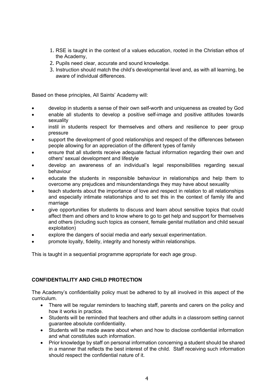- 1. RSE is taught in the context of a values education, rooted in the Christian ethos of the Academy,
- 2. Pupils need clear, accurate and sound knowledge*.*
- 3. Instruction should match the child's developmental level and, as with all learning, be aware of individual differences.

Based on these principles, All Saints' Academy will:

- develop in students a sense of their own self-worth and uniqueness as created by God
- enable all students to develop a positive self-image and positive attitudes towards sexuality
- instil in students respect for themselves and others and resilience to peer group pressure
- support the development of good relationships and respect of the differences between people allowing for an appreciation of the different types of family
- ensure that all students receive adequate factual information regarding their own and others' sexual development and lifestyle
- develop an awareness of an individual's legal responsibilities regarding sexual behaviour
- educate the students in responsible behaviour in relationships and help them to overcome any prejudices and misunderstandings they may have about sexuality
- teach students about the importance of love and respect in relation to all relationships and especially intimate relationships and to set this in the context of family life and marriage
- give opportunities for students to discuss and learn about sensitive topics that could affect them and others and to know where to go to get help and support for themselves and others (including such topics as consent, female genital mutilation and child sexual exploitation)
- explore the dangers of social media and early sexual experimentation.
- promote loyalty, fidelity, integrity and honesty within relationships.

This is taught in a sequential programme appropriate for each age group.

#### **CONFIDENTIALITY AND CHILD PROTECTION**

The Academy's confidentiality policy must be adhered to by all involved in this aspect of the curriculum.

- There will be regular reminders to teaching staff, parents and carers on the policy and how it works in practice.
- Students will be reminded that teachers and other adults in a classroom setting cannot guarantee absolute confidentiality.
- Students will be made aware about when and how to disclose confidential information and what constitutes such information.
- Prior knowledge by staff on personal information concerning a student should be shared in a manner that reflects the best interest of the child. Staff receiving such information should respect the confidential nature of it.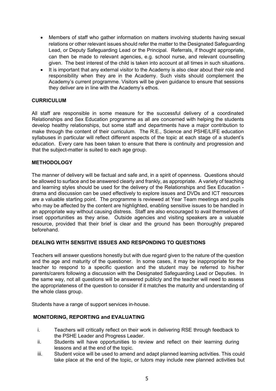- Members of staff who gather information on matters involving students having sexual relations or other relevant issues should refer the matter to the Designated Safeguarding Lead, or Deputy Safeguarding Lead or the Principal. Referrals, if thought appropriate, can then be made to relevant agencies, e.g. school nurse, and relevant counselling given. The best interest of the child is taken into account at all times in such situations.
- It is important that any external visitor to the Academy is also clear about their role and responsibility when they are in the Academy. Such visits should complement the Academy's current programme. Visitors will be given guidance to ensure that sessions they deliver are in line with the Academy's ethos.

#### **CURRICULUM**

All staff are responsible in some measure for the successful delivery of a coordinated Relationships and Sex Education programme as all are concerned with helping the students develop healthy relationships, but some staff and departments have a major contribution to make through the content of their curriculum. The R.E., Science and PSHE/LIFE education syllabuses in particular will reflect different aspects of the topic at each stage of a student's education. Every care has been taken to ensure that there is continuity and progression and that the subject-matter is suited to each age group.

#### **METHODOLOGY**

The manner of delivery will be factual and safe and, in a spirit of openness. Questions should be allowed to surface and be answered clearly and frankly, as appropriate. A variety of teaching and learning styles should be used for the delivery of the Relationships and Sex Education drama and discussion can be used effectively to explore issues and DVDs and ICT resources are a valuable starting point. The programme is reviewed at Year Team meetings and pupils who may be affected by the content are highlighted, enabling sensitive issues to be handled in an appropriate way without causing distress. Staff are also encouraged to avail themselves of inset opportunities as they arise. Outside agencies and visiting speakers are a valuable resource, provided that their brief is clear and the ground has been thoroughly prepared beforehand.

#### **DEALING WITH SENSITIVE ISSUES AND RESPONDING TO QUESTIONS**

Teachers will answer questions honestly but with due regard given to the nature of the question and the age and maturity of the questioner. In some cases, it may be inappropriate for the teacher to respond to a specific question and the student may be referred to his/her parents/carers following a discussion with the Designated Safeguarding Lead or Deputies. In the same way, not all questions will be answered publicly and the teacher will need to assess the appropriateness of the question to consider if it matches the maturity and understanding of the whole class group.

Students have a range of support services in-house.

#### **MONITORING, REPORTING and EVALUATING**

- i. Teachers will critically reflect on their work in delivering RSE through feedback to the PSHE Leader and Progress Leader.
- ii. Students will have opportunities to review and reflect on their learning during lessons and at the end of the topic.
- iii. Student voice will be used to amend and adapt planned learning activities. This could take place at the end of the topic, or tutors may include new planned activities but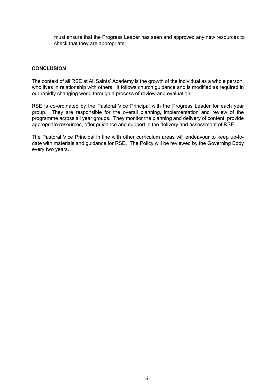must ensure that the Progress Leader has seen and approved any new resources to check that they are appropriate.

#### **CONCLUSION**

The context of all RSE at All Saints' Academy is the growth of the individual as a whole person, who lives in relationship with others. It follows church guidance and is modified as required in our rapidly changing world through a process of review and evaluation.

RSE is co-ordinated by the Pastoral Vice Principal with the Progress Leader for each year group. They are responsible for the overall planning, implementation and review of the programme across all year groups. They monitor the planning and delivery of content, provide appropriate resources, offer guidance and support in the delivery and assessment of RSE.

The Pastoral Vice Principal in line with other curriculum areas will endeavour to keep up-todate with materials and guidance for RSE. The Policy will be reviewed by the Governing Body every two years.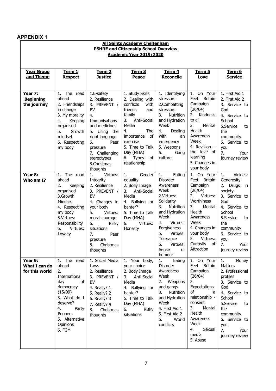#### **APPENDIX 1**

| <b>All Saints Academy Cheltenham</b><br><b>PSHRE and Citizenship School Overview</b> |                                                                                                                                                                                |                                                                                                                                                                                                                                  |                                                                                                                                                                                                                                            |                                                                                                                                                                                                                                         |                                                                                                                                                                                                                      |                                                                                                                                                                                                                       |
|--------------------------------------------------------------------------------------|--------------------------------------------------------------------------------------------------------------------------------------------------------------------------------|----------------------------------------------------------------------------------------------------------------------------------------------------------------------------------------------------------------------------------|--------------------------------------------------------------------------------------------------------------------------------------------------------------------------------------------------------------------------------------------|-----------------------------------------------------------------------------------------------------------------------------------------------------------------------------------------------------------------------------------------|----------------------------------------------------------------------------------------------------------------------------------------------------------------------------------------------------------------------|-----------------------------------------------------------------------------------------------------------------------------------------------------------------------------------------------------------------------|
| Academic Year 2019/2020                                                              |                                                                                                                                                                                |                                                                                                                                                                                                                                  |                                                                                                                                                                                                                                            |                                                                                                                                                                                                                                         |                                                                                                                                                                                                                      |                                                                                                                                                                                                                       |
|                                                                                      |                                                                                                                                                                                |                                                                                                                                                                                                                                  |                                                                                                                                                                                                                                            |                                                                                                                                                                                                                                         |                                                                                                                                                                                                                      |                                                                                                                                                                                                                       |
| <b>Year Group</b><br>and Theme                                                       | <u>Term 1</u><br><b>Respect</b>                                                                                                                                                | Term <sub>2</sub><br><b>Justice</b>                                                                                                                                                                                              | Term 3<br><b>Peace</b>                                                                                                                                                                                                                     | Term 4<br><b>Reconcile</b>                                                                                                                                                                                                              | <u>Term 5</u><br><u>Love</u>                                                                                                                                                                                         | Term 6<br><b>Service</b>                                                                                                                                                                                              |
|                                                                                      |                                                                                                                                                                                |                                                                                                                                                                                                                                  |                                                                                                                                                                                                                                            |                                                                                                                                                                                                                                         |                                                                                                                                                                                                                      |                                                                                                                                                                                                                       |
| Year 7:<br><b>Beginning</b><br>the journey                                           | The road<br>1.<br>ahead<br>2. Friendships<br>in change<br>3. My morality<br>4.<br>Keeping<br>organised<br>5.<br>Growth<br>mindset<br>6. Respecting<br>my body                  | 1.E-safety<br>2. Resilience<br>3. PREVENT /<br><b>BV</b><br>4.<br>Immunisations<br>and medicines<br>Using the<br>5.<br>right language<br>6.<br>Peer<br>pressure<br>7. Challenging<br>stereotypes<br>8.Christmas<br>thoughts      | 1. Study Skills<br>2. Dealing with<br>conflicts<br>with<br>friends<br>and<br>family<br>Anti-Social<br>3.<br>Media<br>4.<br>The<br>of<br>importance<br>exercise<br>5. Time to Talk<br>Day (MHA)<br><b>Types</b><br>of<br>6.<br>relationship | 1. Identifying<br>stressors<br>2.Combatting<br>stressors<br>3.<br><b>Nutrition</b><br>and Hydration<br>Week<br>4.<br>Dealing<br>with<br>an<br>emergency<br>5. Weapons<br>6.<br>Gang<br>culture                                          | 1. On Your<br>Feet<br><b>Britain</b><br>Campaign<br>(26/04)<br>2.<br>Kindness<br>to all<br>3.<br>Mental<br>Health<br>Awareness<br>Week<br>4. Revision -<br>the love of<br>learning<br>5. Changes in<br>your body     | 1. First Aid 1<br>2. First Aid 2<br>3. Service to<br>God<br>4. Service to<br>School<br>5.Service<br>to<br>the<br>community<br>6. Service to<br>you<br>7.<br>Your<br>journey review                                    |
| Year 8:<br>Who am I?                                                                 | The road<br>1.<br>ahead<br>2.<br>Keeping<br>organised<br>3.Growth<br>Mindset<br>4. Respecting<br>my body<br>5. Virtues:<br>Responsibility<br>6.<br>Virtues:<br>Loyalty         | Virtues:<br>1.<br>Integrity<br>2. Resilience<br>3. PREVENT /<br><b>BV</b><br>4. Changes in<br>your body<br>5.<br>Virtues:<br>moral courage<br>6.<br>Risky<br>situations<br>7.<br>Peer<br>pressure<br>8.<br>Christmas<br>thoughts | Gender<br>1.<br>equality<br>2. Body Image<br>3.<br>Anti-Social<br>Media<br>4. Bullying or<br>banter?<br>5. Time to Talk<br>Day (MHA)<br>6.<br>Virtues:<br>Honesty                                                                          | 1.<br>Eating<br>Disorder<br>Awareness<br>Week<br>2.Virtues:<br>Solidarity<br>3.<br><b>Nutrition</b><br>and Hydration<br>Week<br>Virtues:<br>4.<br>Forgiveness<br>5.<br>Virtues:<br>Tolerance<br>6.<br>Virtues:<br>Sense<br>of<br>humour | 1. On Your<br>Feet<br>Britain<br>Campaign<br>(26/04)<br>2.<br>Virtues:<br>Worthiness<br>3.<br>Mental<br>Health<br>Awareness<br>Week<br>4. Changes in<br>your body<br>5.<br>Virtues:<br>Curiosity<br>οf<br>Attraction | Virtues:<br>1.<br>Generosity<br>2.<br><b>Drugs</b><br>in<br>society<br>3. Service to<br>God<br>4. Service to<br>School<br>5.Service<br>to<br>the<br>community<br>6. Service to<br>you<br>7.<br>Your<br>journey review |
| Year 9:<br>What I can do<br>for this world                                           | 1. The road<br>ahead<br>2.<br>International<br>of<br>day<br>democracy<br>(15/09)<br>3. What do I<br>deserve?<br>4.<br>Party<br>Poopers<br>5. Alternative<br>Opinions<br>6. FGM | 1. Social Media<br>Laws<br>2. Resilience<br>3. PREVENT /<br>BV<br>4. Really? 1<br>5. Really? 2<br>6. Really? 3<br>7. Really? 4<br>8.<br>Christmas<br>thoughts                                                                    | 1. Your body,<br>your choice<br>2. Body Image<br>3.<br>Anti-Social<br>Media<br>4. Bullying or<br>banter?<br>5. Time to Talk<br>Day (MHA)<br>Risky<br>6.<br>situations                                                                      | 1.<br>Eating<br>Disorder<br>Awareness<br>Week<br>2. Weapons<br>and gangs<br>Nutrition<br>3.<br>and Hydration<br>Week<br>4. First Aid 1<br>5. First Aid 2<br>World<br>6.<br>conflicts                                                    | 1. On Your<br>Feet Britain<br>Campaign<br>(26/04)<br>2.<br>Expectations<br>of<br>a<br>relationship -<br>consent<br>Mental<br>3.<br>Health<br>Awareness<br>Week<br>Sexual<br>4.<br>media<br>5. Abuse                  | Money<br>1.<br>Matters<br>2. Professional<br>profiles<br>3. Service to<br>God<br>4. Service to<br>School<br>5.Service<br>to<br>the<br>community<br>6. Service to<br>you<br>7.<br>Your<br>journey review               |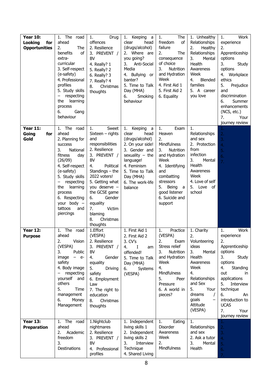| <b>Year 10:</b><br><b>Looking</b><br>for<br><b>Opportunities</b> | 1. The road<br>ahead<br>2.<br>The<br>of<br>benefits<br>extra-<br>curricular<br>3. Self-respect<br>(e-safety)<br>4. Professional<br>profiles<br>5. Study skills<br>respecting<br>learning<br>the<br>process<br>6.<br>Gang<br>behaviour                                      | Drug<br>1.<br>offences<br>2. Resilience<br>3. PREVENT /<br><b>BV</b><br>4. Really? 1<br>5. Really? 2<br>6. Really? 3<br>7. Really? 4<br>Christmas<br>8.<br>thoughts                                                                                                                                    | 1. Keeping a<br>clear<br>head<br>(drugs/alcohol)<br>2. Where are<br>you going?<br>Anti-Social<br>3.<br>Media<br>4. Bullying or<br>banter?<br>5. Time to Talk<br>Day (MHA)<br>Smoking<br>6.<br>behaviour     | The<br>1.<br>of<br>freedom<br>failure<br>2.<br>The<br>consequence<br>of choice<br>3.<br><b>Nutrition</b><br>and Hydration<br>Week<br>4. First Aid 1<br>5. First Aid 2<br>6. Equality                          | 1. Unhealthy<br>Relationships<br>2.<br>Healthy<br>Relationships<br>3.<br>Mental<br>Health<br>Awareness<br>Week<br>Blended<br>4.<br>families<br>5. A career<br>you love                                                     | Work<br>1.<br>experience<br>2.<br>Apprenticeship<br>options<br>3.<br>Study<br>options<br>4. Workplace<br>ethics<br>5.<br>Prejudice<br>and<br>discrimination<br>Summer<br>6.<br>enhancements<br>(NCS, etc.)<br>7.<br>Your<br>journey review         |
|------------------------------------------------------------------|----------------------------------------------------------------------------------------------------------------------------------------------------------------------------------------------------------------------------------------------------------------------------|--------------------------------------------------------------------------------------------------------------------------------------------------------------------------------------------------------------------------------------------------------------------------------------------------------|-------------------------------------------------------------------------------------------------------------------------------------------------------------------------------------------------------------|---------------------------------------------------------------------------------------------------------------------------------------------------------------------------------------------------------------|----------------------------------------------------------------------------------------------------------------------------------------------------------------------------------------------------------------------------|----------------------------------------------------------------------------------------------------------------------------------------------------------------------------------------------------------------------------------------------------|
| <b>Year 11:</b><br>Going<br>for<br>Gold                          | The road<br>1.<br>ahead<br>2. Planning for<br><b>SUCCESS</b><br>3.<br>National<br>fitness<br>day<br>(26/09)<br>4. Self-respect<br>(e-safety)<br>5. Study skills<br>respecting<br>learning<br>the<br>process<br>6. Respecting<br>your body -<br>tattoos<br>and<br>piercings | Sweet<br>1.<br>$Sixteen - rights$<br>and<br>responsibilities<br>2. Resilience<br>3. PREVENT /<br>BV<br>Political<br>4.<br>Standings $-$ the<br>2022 voters!<br>5. Getting what<br>you deserve -<br>the GCSE game<br>Gender<br>6.<br>equality<br>Victim<br>7.<br>blaming<br>8.<br>Christmas<br>thoughts | Keeping<br>1.<br>a<br>clear<br>head<br>(drugs/alcohol)<br>2. On your side!<br>3. Gender and<br>sexuality $-$ the<br>language!<br>4. Feminism<br>5. Time to Talk<br>Day (MHA)<br>6. The work-life<br>balance | Exam<br>1.<br>Heaven<br>2.<br>Mindfulness<br>3.<br>Nutrition<br>and Hydration<br>Week<br>4. Identifying<br>and<br>combatting<br>stressors<br>5.<br>Being<br>- a<br>good listener<br>6. Suicide and<br>support | 1.<br>Relationships<br>and sex<br>2. Protection<br>from<br>infection<br>3.<br>Mental<br>Health<br>Awareness<br>Week<br>4. Love of self<br>5. Love of<br>school                                                             | $\overline{2}$<br>3.<br>$\overline{4}$<br>5.<br>6.<br>$\overline{7}$                                                                                                                                                                               |
| <b>Year 12:</b><br><b>Purpose</b>                                | The road<br>1.<br>ahead<br>2.<br>Vision<br>(VESPA)<br>3.<br>Public<br>$-$ e-<br>image<br>safety<br>4. Body image<br>- respecting<br>yourself<br>and<br>others<br>5.<br>Time<br>management<br>6.<br>Money<br>Management                                                     | 1.Effort<br>(VESPA)<br>2. Resilience<br>3. PREVENT /<br><b>BV</b><br>4.<br>Gender<br>equality<br>5.<br>Driving<br>safety<br>6. Employment<br>Law<br>7. The right to<br>education<br>Christmas<br>8.<br>thoughts                                                                                        | 1. First Aid 1<br>2. First Aid 2<br>3. CV's<br>4.<br>$\bf{I}$<br>am<br>offended!<br>5. Time to Talk<br>Day (MHA)<br>6.<br>Systems<br>(VESPA)                                                                | 1.<br>Practice<br>(VESPA)<br>2.<br>Exam<br>Stress relief<br>3.<br>Nutrition<br>and Hydration<br>Week<br>4.<br>Mindfulness<br>5.<br>Peer<br>Pressure<br>6. A world in<br>pieces?                               | 1. Charity<br>2.<br>Volunteering<br>ideas<br>3.<br>Mental<br>Health<br>Awareness<br>Week<br>4.<br>Relationships<br>and Sex<br>5.<br>Your<br>dreams<br>$\prime$<br>goals<br>$\overline{\phantom{0}}$<br>Attitude<br>(VESPA) | 1.<br>Work<br>experience<br>2.<br>Apprenticeship<br>options<br>Study<br>3.<br>options<br>4.<br>Standing<br>out<br>in<br>applications<br>5.<br>Interview<br>technique<br>6.<br>An<br>introduction to<br><b>UCAS</b><br>7.<br>Your<br>journey review |
| <b>Year 13:</b><br><b>Preparation</b>                            | 1. The road<br>ahead<br>Academic<br>2.<br>freedom<br>3.<br>Destinations                                                                                                                                                                                                    | 1.Nightclub<br>nightmares<br>2. Resilience<br>3. PREVENT /<br><b>BV</b><br>4. Professional<br>profiles                                                                                                                                                                                                 | 1. Independent<br>living skills 1<br>2. Independent<br>living skills 2<br>Interview<br>3.<br>Technique<br>4. Shared Living                                                                                  | 1.<br>Eating<br>Disorder<br>Awareness<br>Week<br>2.<br>Mindfulness                                                                                                                                            | $\mathbf{1}$ .<br>Relationships<br>and sex<br>2. Ask a tutor<br>3.<br>Mental<br>Health                                                                                                                                     | $\mathbf{1}_{\mathbf{1}}$<br>2.<br>3.<br>$\mathbf{4}$<br>5.<br>6.                                                                                                                                                                                  |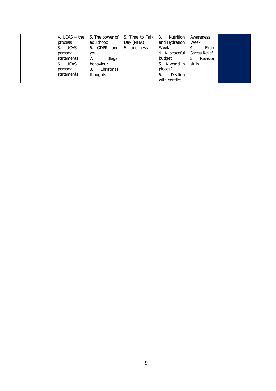| 4. $UCAS - the$                                | 5. The power of | 5. Time to Talk | <b>Nutrition</b><br>3. | Awareness            |  |
|------------------------------------------------|-----------------|-----------------|------------------------|----------------------|--|
| process                                        | adulthood       | Day (MHA)       | and Hydration          | Week                 |  |
| <b>UCAS</b><br>5.<br>$\overline{\phantom{m}}$  | 6. GDPR<br>and  | 6. Loneliness   | Week                   | Exam<br>4.           |  |
| personal                                       | you             |                 | 4. A peaceful          | <b>Stress Relief</b> |  |
| statements                                     | Illegal         |                 | budget                 | Revision<br>5.       |  |
| <b>UCAS</b><br>-6.<br>$\overline{\phantom{m}}$ | behaviour       |                 | 5. A world in          | skills               |  |
| personal                                       | Christmas<br>8. |                 | pieces?                |                      |  |
| statements                                     | thoughts        |                 | Dealing<br>6.          |                      |  |
|                                                |                 |                 | with conflict          |                      |  |